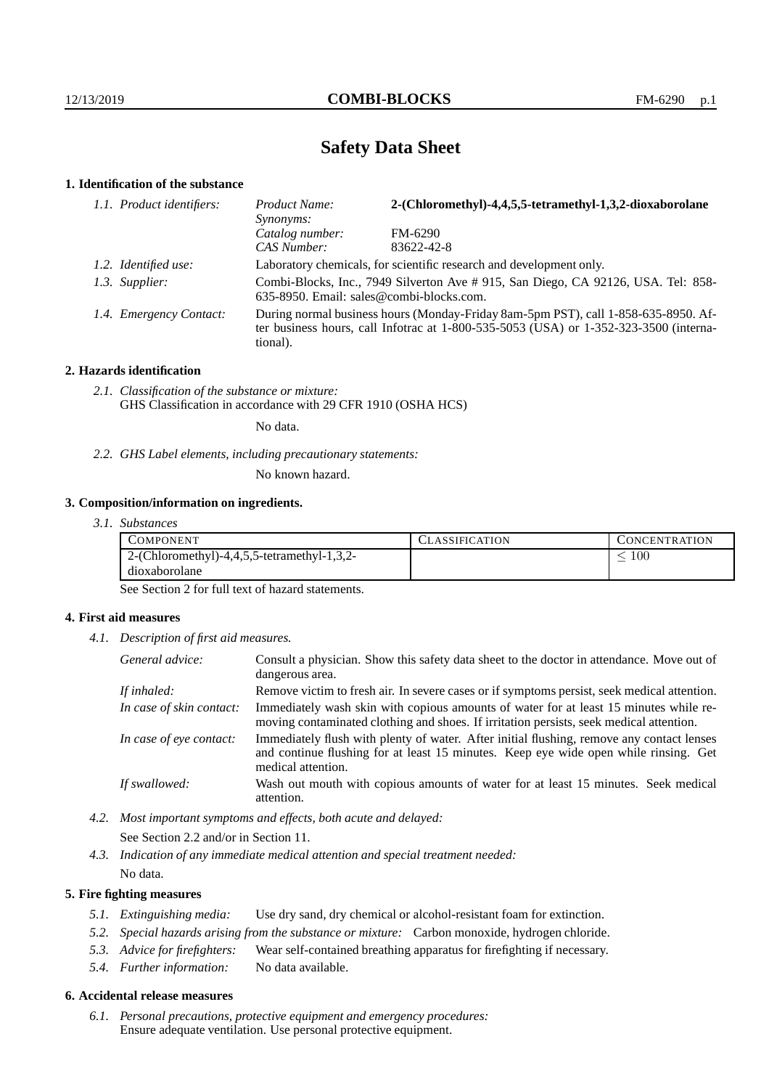# **Safety Data Sheet**

# **1. Identification of the substance**

| 1.1. Product identifiers: | 2-(Chloromethyl)-4,4,5,5-tetramethyl-1,3,2-dioxaborolane<br>Product Name:<br><i>Synonyms:</i>                                                                                               |            |  |
|---------------------------|---------------------------------------------------------------------------------------------------------------------------------------------------------------------------------------------|------------|--|
|                           | Catalog number:                                                                                                                                                                             | FM-6290    |  |
|                           | CAS Number:                                                                                                                                                                                 | 83622-42-8 |  |
| 1.2. Identified use:      | Laboratory chemicals, for scientific research and development only.                                                                                                                         |            |  |
| 1.3. Supplier:            | Combi-Blocks, Inc., 7949 Silverton Ave # 915, San Diego, CA 92126, USA. Tel: 858-<br>635-8950. Email: sales@combi-blocks.com.                                                               |            |  |
| 1.4. Emergency Contact:   | During normal business hours (Monday-Friday 8am-5pm PST), call 1-858-635-8950. Af-<br>ter business hours, call Infotrac at $1-800-535-5053$ (USA) or $1-352-323-3500$ (interna-<br>tional). |            |  |

## **2. Hazards identification**

*2.1. Classification of the substance or mixture:* GHS Classification in accordance with 29 CFR 1910 (OSHA HCS)

No data.

*2.2. GHS Label elements, including precautionary statements:*

No known hazard.

# **3. Composition/information on ingredients.**

| 3.1. Substances |
|-----------------|
|                 |

| COMPONENT                                   | <b>ASSIFICATION</b> | L'ONCENTRATION |
|---------------------------------------------|---------------------|----------------|
| 2-(Chloromethyl)-4,4,5,5-tetramethyl-1,3,2- |                     | $100\,$        |
| dioxaborolane                               |                     |                |

See Section 2 for full text of hazard statements.

## **4. First aid measures**

*4.1. Description of first aid measures.*

| General advice:          | Consult a physician. Show this safety data sheet to the doctor in attendance. Move out of<br>dangerous area.                                                                                            |
|--------------------------|---------------------------------------------------------------------------------------------------------------------------------------------------------------------------------------------------------|
| If inhaled:              | Remove victim to fresh air. In severe cases or if symptoms persist, seek medical attention.                                                                                                             |
| In case of skin contact: | Immediately wash skin with copious amounts of water for at least 15 minutes while re-<br>moving contaminated clothing and shoes. If irritation persists, seek medical attention.                        |
| In case of eye contact:  | Immediately flush with plenty of water. After initial flushing, remove any contact lenses<br>and continue flushing for at least 15 minutes. Keep eye wide open while rinsing. Get<br>medical attention. |
| If swallowed:            | Wash out mouth with copious amounts of water for at least 15 minutes. Seek medical<br>attention.                                                                                                        |

*4.2. Most important symptoms and effects, both acute and delayed:*

See Section 2.2 and/or in Section 11.

*4.3. Indication of any immediate medical attention and special treatment needed:*

# No data.

# **5. Fire fighting measures**

- *5.1. Extinguishing media:* Use dry sand, dry chemical or alcohol-resistant foam for extinction.
- *5.2. Special hazards arising from the substance or mixture:* Carbon monoxide, hydrogen chloride.
- *5.3. Advice for firefighters:* Wear self-contained breathing apparatus for firefighting if necessary.
- *5.4. Further information:* No data available.

## **6. Accidental release measures**

*6.1. Personal precautions, protective equipment and emergency procedures:* Ensure adequate ventilation. Use personal protective equipment.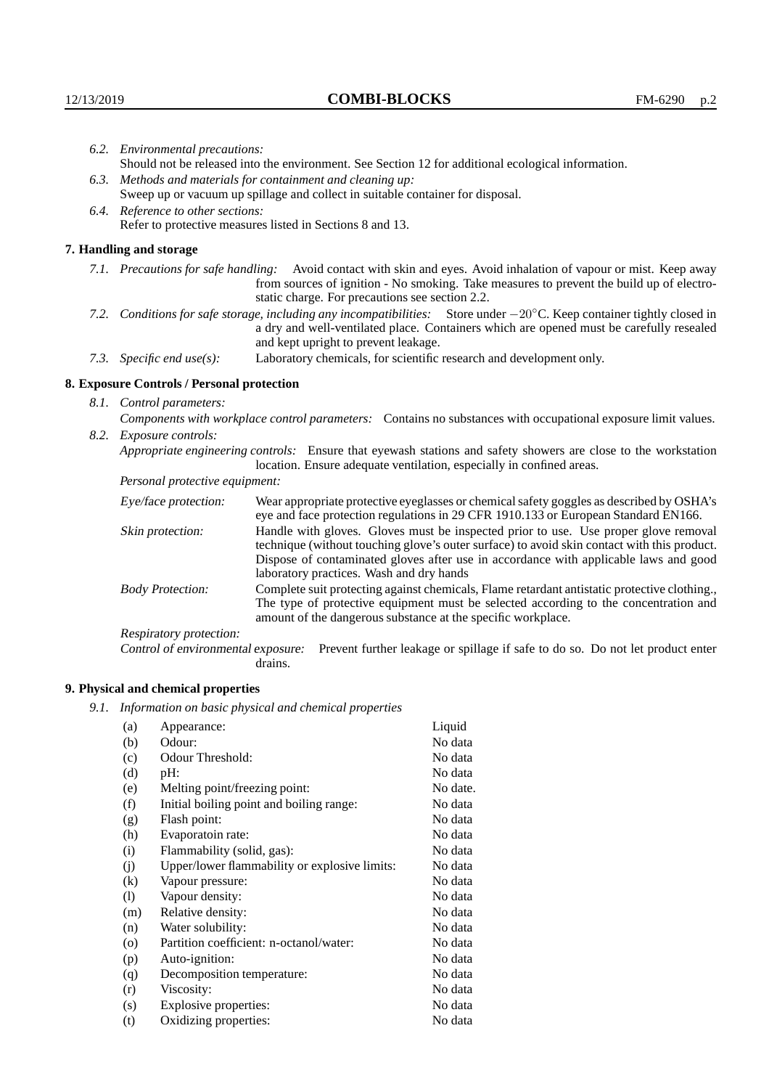|                                                                                                                                                                                                                                                                     | 6.2. Environmental precautions:                                                                                                                                                        |                                                                                                                                                                                                                                                                            |  |  |
|---------------------------------------------------------------------------------------------------------------------------------------------------------------------------------------------------------------------------------------------------------------------|----------------------------------------------------------------------------------------------------------------------------------------------------------------------------------------|----------------------------------------------------------------------------------------------------------------------------------------------------------------------------------------------------------------------------------------------------------------------------|--|--|
|                                                                                                                                                                                                                                                                     |                                                                                                                                                                                        | Should not be released into the environment. See Section 12 for additional ecological information.                                                                                                                                                                         |  |  |
|                                                                                                                                                                                                                                                                     | 6.3. Methods and materials for containment and cleaning up:                                                                                                                            |                                                                                                                                                                                                                                                                            |  |  |
|                                                                                                                                                                                                                                                                     |                                                                                                                                                                                        | Sweep up or vacuum up spillage and collect in suitable container for disposal.                                                                                                                                                                                             |  |  |
| 6.4. Reference to other sections:                                                                                                                                                                                                                                   |                                                                                                                                                                                        |                                                                                                                                                                                                                                                                            |  |  |
| Refer to protective measures listed in Sections 8 and 13.                                                                                                                                                                                                           |                                                                                                                                                                                        |                                                                                                                                                                                                                                                                            |  |  |
|                                                                                                                                                                                                                                                                     | 7. Handling and storage                                                                                                                                                                |                                                                                                                                                                                                                                                                            |  |  |
|                                                                                                                                                                                                                                                                     |                                                                                                                                                                                        | 7.1. Precautions for safe handling: Avoid contact with skin and eyes. Avoid inhalation of vapour or mist. Keep away<br>from sources of ignition - No smoking. Take measures to prevent the build up of electro-<br>static charge. For precautions see section 2.2.         |  |  |
| 7.2. Conditions for safe storage, including any incompatibilities: Store under $-20^{\circ}$ C. Keep container tightly closed in<br>a dry and well-ventilated place. Containers which are opened must be carefully resealed<br>and kept upright to prevent leakage. |                                                                                                                                                                                        |                                                                                                                                                                                                                                                                            |  |  |
|                                                                                                                                                                                                                                                                     | 7.3. Specific end use(s):                                                                                                                                                              | Laboratory chemicals, for scientific research and development only.                                                                                                                                                                                                        |  |  |
|                                                                                                                                                                                                                                                                     | 8. Exposure Controls / Personal protection                                                                                                                                             |                                                                                                                                                                                                                                                                            |  |  |
|                                                                                                                                                                                                                                                                     | 8.1. Control parameters:                                                                                                                                                               |                                                                                                                                                                                                                                                                            |  |  |
|                                                                                                                                                                                                                                                                     | Components with workplace control parameters: Contains no substances with occupational exposure limit values.                                                                          |                                                                                                                                                                                                                                                                            |  |  |
|                                                                                                                                                                                                                                                                     | 8.2. Exposure controls:                                                                                                                                                                |                                                                                                                                                                                                                                                                            |  |  |
|                                                                                                                                                                                                                                                                     | Appropriate engineering controls: Ensure that eyewash stations and safety showers are close to the workstation<br>location. Ensure adequate ventilation, especially in confined areas. |                                                                                                                                                                                                                                                                            |  |  |
|                                                                                                                                                                                                                                                                     | Personal protective equipment:                                                                                                                                                         |                                                                                                                                                                                                                                                                            |  |  |
|                                                                                                                                                                                                                                                                     | Eye/face protection:                                                                                                                                                                   | Wear appropriate protective eyeglasses or chemical safety goggles as described by OSHA's<br>eye and face protection regulations in 29 CFR 1910.133 or European Standard EN166.                                                                                             |  |  |
|                                                                                                                                                                                                                                                                     | Skin protection:                                                                                                                                                                       | Handle with gloves. Gloves must be inspected prior to use. Use proper glove removal<br>technique (without touching glove's outer surface) to avoid skin contact with this product.<br>Dispose of conteminated gloves ofter use in accordance with applicable laws and good |  |  |

# **8. Exposure Controls / Personal protection**

| Eye/face protection:                                                                                                                                                                                                                                                                                                                       | Wear appropriate protective eyeglasses or chemical safety goggles as described by OSHA's<br>eye and face protection regulations in 29 CFR 1910.133 or European Standard EN166.                                                                       |  |
|--------------------------------------------------------------------------------------------------------------------------------------------------------------------------------------------------------------------------------------------------------------------------------------------------------------------------------------------|------------------------------------------------------------------------------------------------------------------------------------------------------------------------------------------------------------------------------------------------------|--|
| Handle with gloves. Gloves must be inspected prior to use. Use proper glove removal<br>Skin protection:<br>technique (without touching glove's outer surface) to avoid skin contact with this product.<br>Dispose of contaminated gloves after use in accordance with applicable laws and good<br>laboratory practices. Wash and dry hands |                                                                                                                                                                                                                                                      |  |
| <b>Body Protection:</b>                                                                                                                                                                                                                                                                                                                    | Complete suit protecting against chemicals, Flame retardant antistatic protective clothing.,<br>The type of protective equipment must be selected according to the concentration and<br>amount of the dangerous substance at the specific workplace. |  |
| Respiratory protection:                                                                                                                                                                                                                                                                                                                    |                                                                                                                                                                                                                                                      |  |
| Control of environmental exposure:                                                                                                                                                                                                                                                                                                         | Prevent further leakage or spillage if safe to do so. Do not let product enter<br>drains.                                                                                                                                                            |  |

# **9. Physical and chemical properties**

*9.1. Information on basic physical and chemical properties*

| (a)                        | Appearance:                                   | Liquid   |
|----------------------------|-----------------------------------------------|----------|
| (b)                        | Odour:                                        | No data  |
| (c)                        | Odour Threshold:                              | No data  |
| (d)                        | $pH$ :                                        | No data  |
| (e)                        | Melting point/freezing point:                 | No date. |
| (f)                        | Initial boiling point and boiling range:      | No data  |
| (g)                        | Flash point:                                  | No data  |
| (h)                        | Evaporatoin rate:                             | No data  |
| (i)                        | Flammability (solid, gas):                    | No data  |
| (j)                        | Upper/lower flammability or explosive limits: | No data  |
| (k)                        | Vapour pressure:                              | No data  |
| $\left( \mathrm{l}\right)$ | Vapour density:                               | No data  |
| (m)                        | Relative density:                             | No data  |
| (n)                        | Water solubility:                             | No data  |
| $\rm (o)$                  | Partition coefficient: n-octanol/water:       | No data  |
| (p)                        | Auto-ignition:                                | No data  |
| (q)                        | Decomposition temperature:                    | No data  |
| (r)                        | Viscosity:                                    | No data  |
| (s)                        | Explosive properties:                         | No data  |
| (t)                        | Oxidizing properties:                         | No data  |